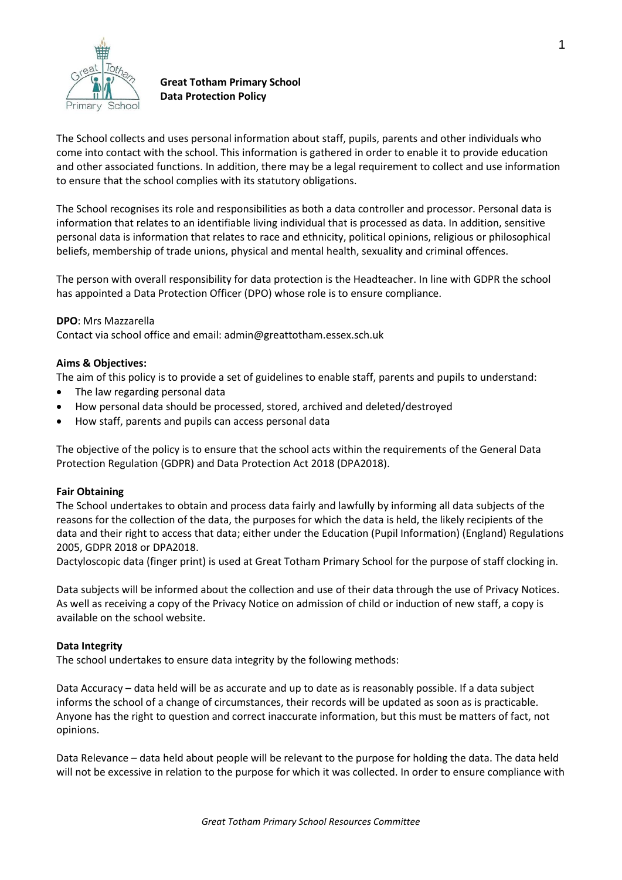

# **Great Totham Primary School Data Protection Policy**

The School collects and uses personal information about staff, pupils, parents and other individuals who come into contact with the school. This information is gathered in order to enable it to provide education and other associated functions. In addition, there may be a legal requirement to collect and use information to ensure that the school complies with its statutory obligations.

The School recognises its role and responsibilities as both a data controller and processor. Personal data is information that relates to an identifiable living individual that is processed as data. In addition, sensitive personal data is information that relates to race and ethnicity, political opinions, religious or philosophical beliefs, membership of trade unions, physical and mental health, sexuality and criminal offences.

The person with overall responsibility for data protection is the Headteacher. In line with GDPR the school has appointed a Data Protection Officer (DPO) whose role is to ensure compliance.

# **DPO**: Mrs Mazzarella

Contact via school office and email: admin@greattotham.essex.sch.uk

### **Aims & Objectives:**

The aim of this policy is to provide a set of guidelines to enable staff, parents and pupils to understand:

- The law regarding personal data
- How personal data should be processed, stored, archived and deleted/destroyed
- How staff, parents and pupils can access personal data

The objective of the policy is to ensure that the school acts within the requirements of the General Data Protection Regulation (GDPR) and Data Protection Act 2018 (DPA2018).

### **Fair Obtaining**

The School undertakes to obtain and process data fairly and lawfully by informing all data subjects of the reasons for the collection of the data, the purposes for which the data is held, the likely recipients of the data and their right to access that data; either under the Education (Pupil Information) (England) Regulations 2005, GDPR 2018 or DPA2018.

Dactyloscopic data (finger print) is used at Great Totham Primary School for the purpose of staff clocking in.

Data subjects will be informed about the collection and use of their data through the use of Privacy Notices. As well as receiving a copy of the Privacy Notice on admission of child or induction of new staff, a copy is available on the school website.

### **Data Integrity**

The school undertakes to ensure data integrity by the following methods:

Data Accuracy – data held will be as accurate and up to date as is reasonably possible. If a data subject informs the school of a change of circumstances, their records will be updated as soon as is practicable. Anyone has the right to question and correct inaccurate information, but this must be matters of fact, not opinions.

Data Relevance – data held about people will be relevant to the purpose for holding the data. The data held will not be excessive in relation to the purpose for which it was collected. In order to ensure compliance with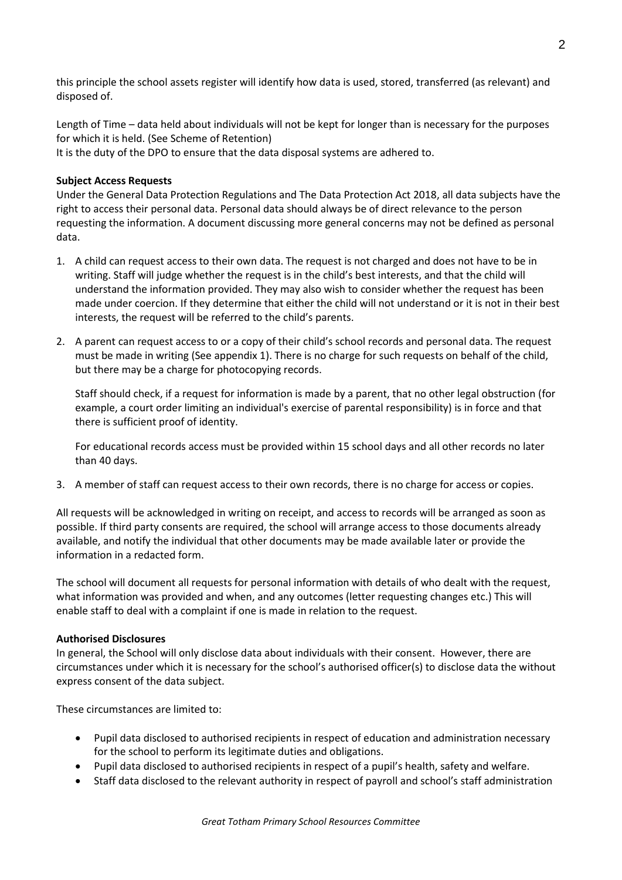this principle the school assets register will identify how data is used, stored, transferred (as relevant) and disposed of.

Length of Time – data held about individuals will not be kept for longer than is necessary for the purposes for which it is held. (See Scheme of Retention) It is the duty of the DPO to ensure that the data disposal systems are adhered to.

### **Subject Access Requests**

Under the General Data Protection Regulations and The Data Protection Act 2018, all data subjects have the right to access their personal data. Personal data should always be of direct relevance to the person requesting the information. A document discussing more general concerns may not be defined as personal data.

- 1. A child can request access to their own data. The request is not charged and does not have to be in writing. Staff will judge whether the request is in the child's best interests, and that the child will understand the information provided. They may also wish to consider whether the request has been made under coercion. If they determine that either the child will not understand or it is not in their best interests, the request will be referred to the child's parents.
- 2. A parent can request access to or a copy of their child's school records and personal data. The request must be made in writing (See appendix 1). There is no charge for such requests on behalf of the child, but there may be a charge for photocopying records.

Staff should check, if a request for information is made by a parent, that no other legal obstruction (for example, a court order limiting an individual's exercise of parental responsibility) is in force and that there is sufficient proof of identity.

For educational records access must be provided within 15 school days and all other records no later than 40 days.

3. A member of staff can request access to their own records, there is no charge for access or copies.

All requests will be acknowledged in writing on receipt, and access to records will be arranged as soon as possible. If third party consents are required, the school will arrange access to those documents already available, and notify the individual that other documents may be made available later or provide the information in a redacted form.

The school will document all requests for personal information with details of who dealt with the request, what information was provided and when, and any outcomes (letter requesting changes etc.) This will enable staff to deal with a complaint if one is made in relation to the request.

#### **Authorised Disclosures**

In general, the School will only disclose data about individuals with their consent. However, there are circumstances under which it is necessary for the school's authorised officer(s) to disclose data the without express consent of the data subject.

These circumstances are limited to:

- Pupil data disclosed to authorised recipients in respect of education and administration necessary for the school to perform its legitimate duties and obligations.
- Pupil data disclosed to authorised recipients in respect of a pupil's health, safety and welfare.
- Staff data disclosed to the relevant authority in respect of payroll and school's staff administration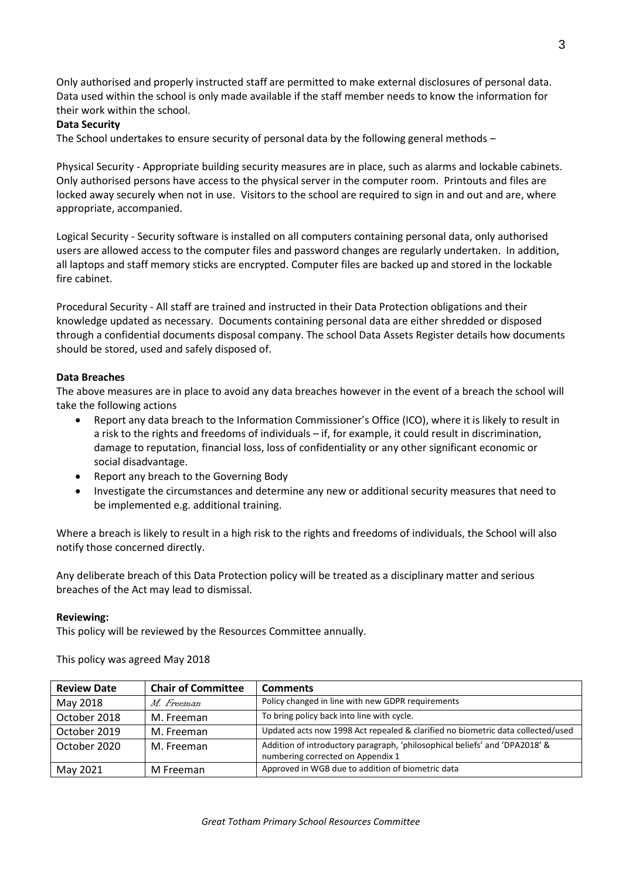Only authorised and properly instructed staff are permitted to make external disclosures of personal data. Data used within the school is only made available if the staff member needs to know the information for their work within the school.

# **Data Security**

The School undertakes to ensure security of personal data by the following general methods –

Physical Security - Appropriate building security measures are in place, such as alarms and lockable cabinets. Only authorised persons have access to the physical server in the computer room. Printouts and files are locked away securely when not in use. Visitors to the school are required to sign in and out and are, where appropriate, accompanied.

Logical Security - Security software is installed on all computers containing personal data, only authorised users are allowed access to the computer files and password changes are regularly undertaken. In addition, all laptops and staff memory sticks are encrypted. Computer files are backed up and stored in the lockable fire cabinet.

Procedural Security - All staff are trained and instructed in their Data Protection obligations and their knowledge updated as necessary. Documents containing personal data are either shredded or disposed through a confidential documents disposal company. The school Data Assets Register details how documents should be stored, used and safely disposed of.

# **Data Breaches**

The above measures are in place to avoid any data breaches however in the event of a breach the school will take the following actions

- Report any data breach to the Information Commissioner's Office (ICO), where it is likely to result in a risk to the rights and freedoms of individuals – if, for example, it could result in discrimination, damage to reputation, financial loss, loss of confidentiality or any other significant economic or social disadvantage.
- Report any breach to the Governing Body
- Investigate the circumstances and determine any new or additional security measures that need to be implemented e.g. additional training.

Where a breach is likely to result in a high risk to the rights and freedoms of individuals, the School will also notify those concerned directly.

Any deliberate breach of this Data Protection policy will be treated as a disciplinary matter and serious breaches of the Act may lead to dismissal.

### **Reviewing:**

This policy will be reviewed by the Resources Committee annually.

This policy was agreed May 2018

| <b>Review Date</b> | <b>Chair of Committee</b> | <b>Comments</b>                                                                                                  |
|--------------------|---------------------------|------------------------------------------------------------------------------------------------------------------|
| May 2018           | M. Freeman                | Policy changed in line with new GDPR requirements                                                                |
| October 2018       | M. Freeman                | To bring policy back into line with cycle.                                                                       |
| October 2019       | M. Freeman                | Updated acts now 1998 Act repealed & clarified no biometric data collected/used                                  |
| October 2020       | M. Freeman                | Addition of introductory paragraph, 'philosophical beliefs' and 'DPA2018' &<br>numbering corrected on Appendix 1 |
| May 2021           | M Freeman                 | Approved in WGB due to addition of biometric data                                                                |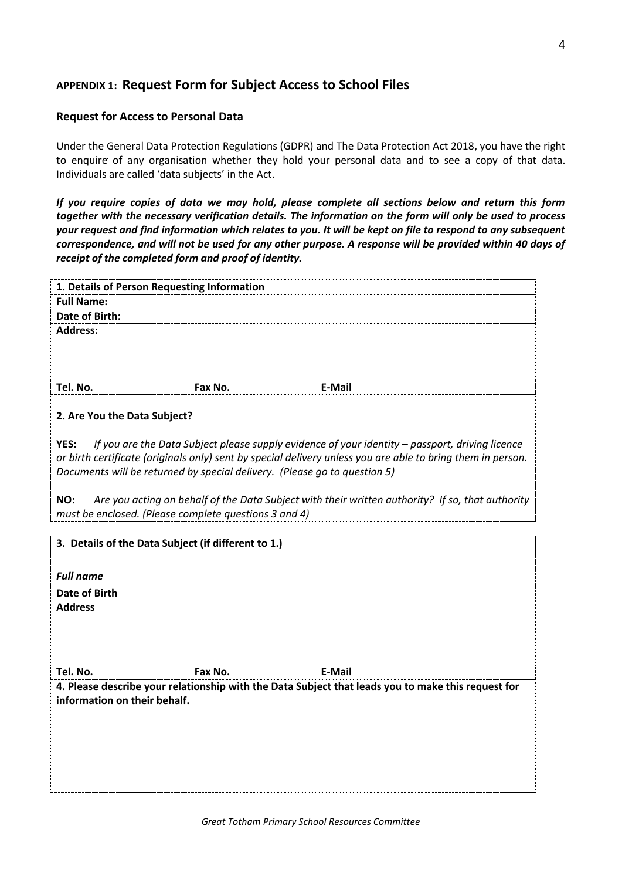# **APPENDIX 1: Request Form for Subject Access to School Files**

### **Request for Access to Personal Data**

Under the General Data Protection Regulations (GDPR) and The Data Protection Act 2018, you have the right to enquire of any organisation whether they hold your personal data and to see a copy of that data. Individuals are called 'data subjects' in the Act.

*If you require copies of data we may hold, please complete all sections below and return this form together with the necessary verification details. The information on the form will only be used to process your request and find information which relates to you. It will be kept on file to respond to any subsequent correspondence, and will not be used for any other purpose. A response will be provided within 40 days of receipt of the completed form and proof of identity.*

| 1. Details of Person Requesting Information                  |         |                                                                                                                                                                                                                                                                                             |
|--------------------------------------------------------------|---------|---------------------------------------------------------------------------------------------------------------------------------------------------------------------------------------------------------------------------------------------------------------------------------------------|
| <b>Full Name:</b>                                            |         |                                                                                                                                                                                                                                                                                             |
| <b>Date of Birth:</b>                                        |         |                                                                                                                                                                                                                                                                                             |
| <b>Address:</b>                                              |         |                                                                                                                                                                                                                                                                                             |
| Tel. No.                                                     | Fax No. | E-Mail                                                                                                                                                                                                                                                                                      |
| 2. Are You the Data Subject?                                 |         |                                                                                                                                                                                                                                                                                             |
| YES:                                                         |         | If you are the Data Subject please supply evidence of your identity - passport, driving licence<br>or birth certificate (originals only) sent by special delivery unless you are able to bring them in person.<br>Documents will be returned by special delivery. (Please go to question 5) |
| NO:<br>must be enclosed. (Please complete questions 3 and 4) |         | Are you acting on behalf of the Data Subject with their written authority? If so, that authority                                                                                                                                                                                            |
| 3. Details of the Data Subject (if different to 1.)          |         |                                                                                                                                                                                                                                                                                             |
| <b>Full name</b>                                             |         |                                                                                                                                                                                                                                                                                             |
| Date of Birth<br><b>Address</b>                              |         |                                                                                                                                                                                                                                                                                             |
|                                                              |         |                                                                                                                                                                                                                                                                                             |
| Tel. No.                                                     | Fax No. | E-Mail                                                                                                                                                                                                                                                                                      |
| information on their behalf.                                 |         | 4. Please describe your relationship with the Data Subject that leads you to make this request for                                                                                                                                                                                          |